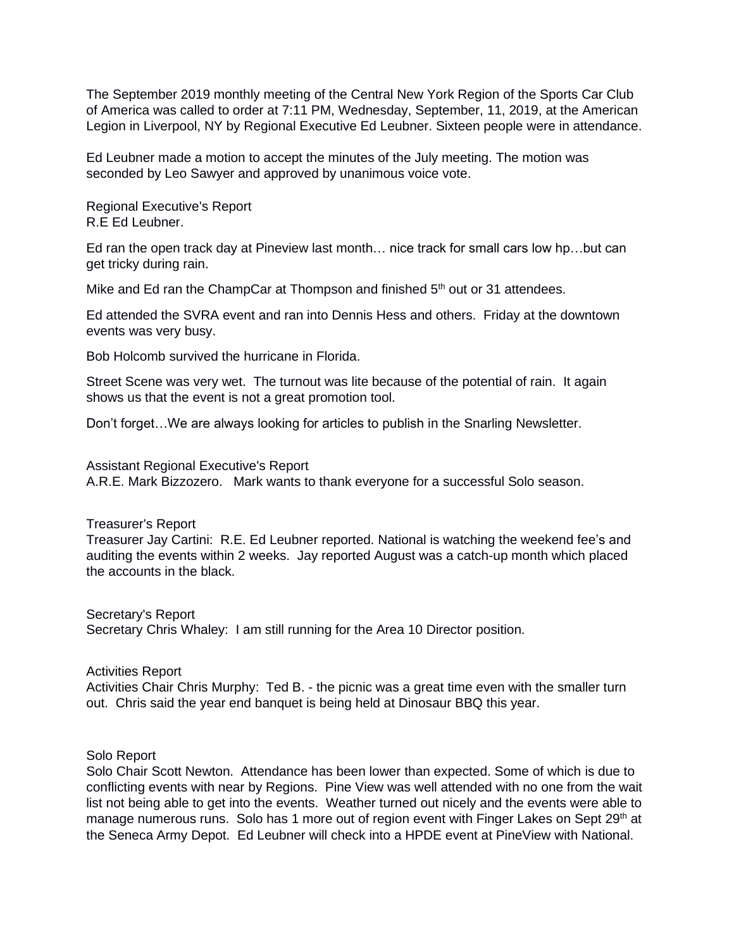The September 2019 monthly meeting of the Central New York Region of the Sports Car Club of America was called to order at 7:11 PM, Wednesday, September, 11, 2019, at the American Legion in Liverpool, NY by Regional Executive Ed Leubner. Sixteen people were in attendance.

Ed Leubner made a motion to accept the minutes of the July meeting. The motion was seconded by Leo Sawyer and approved by unanimous voice vote.

Regional Executive's Report R.E Ed Leubner.

Ed ran the open track day at Pineview last month… nice track for small cars low hp…but can get tricky during rain.

Mike and Ed ran the ChampCar at Thompson and finished 5<sup>th</sup> out or 31 attendees.

Ed attended the SVRA event and ran into Dennis Hess and others. Friday at the downtown events was very busy.

Bob Holcomb survived the hurricane in Florida.

Street Scene was very wet. The turnout was lite because of the potential of rain. It again shows us that the event is not a great promotion tool.

Don't forget…We are always looking for articles to publish in the Snarling Newsletter.

Assistant Regional Executive's Report A.R.E. Mark Bizzozero. Mark wants to thank everyone for a successful Solo season.

## Treasurer's Report

Treasurer Jay Cartini: R.E. Ed Leubner reported. National is watching the weekend fee's and auditing the events within 2 weeks. Jay reported August was a catch-up month which placed the accounts in the black.

Secretary's Report Secretary Chris Whaley: I am still running for the Area 10 Director position.

Activities Report Activities Chair Chris Murphy: Ted B. - the picnic was a great time even with the smaller turn out. Chris said the year end banquet is being held at Dinosaur BBQ this year.

Solo Report

Solo Chair Scott Newton. Attendance has been lower than expected. Some of which is due to conflicting events with near by Regions. Pine View was well attended with no one from the wait list not being able to get into the events. Weather turned out nicely and the events were able to manage numerous runs. Solo has 1 more out of region event with Finger Lakes on Sept 29<sup>th</sup> at the Seneca Army Depot. Ed Leubner will check into a HPDE event at PineView with National.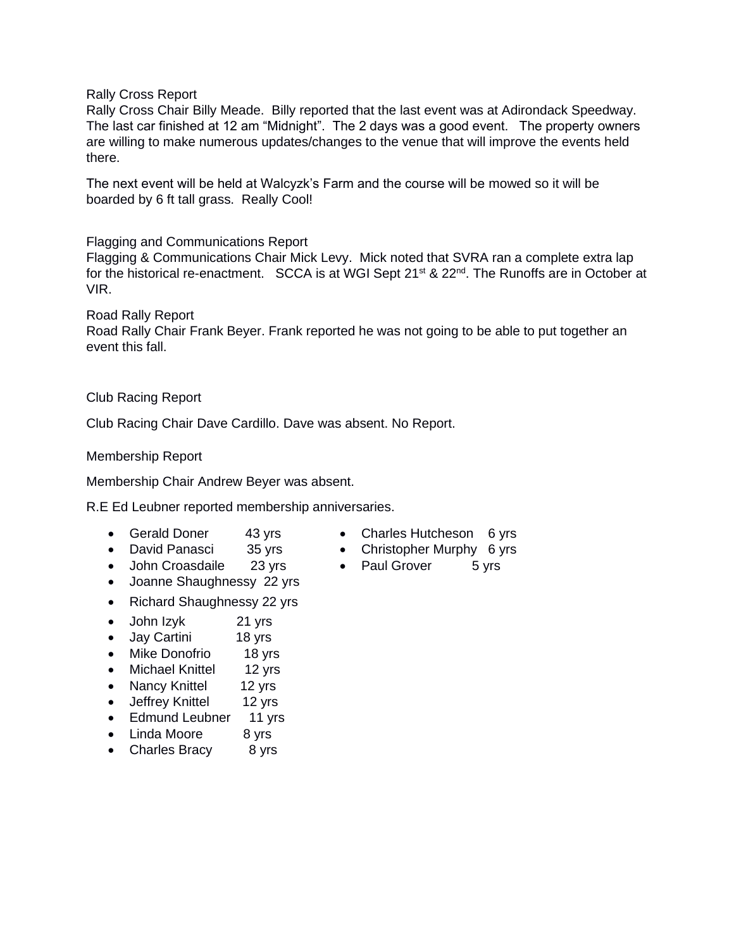Rally Cross Report

Rally Cross Chair Billy Meade. Billy reported that the last event was at Adirondack Speedway. The last car finished at 12 am "Midnight". The 2 days was a good event. The property owners are willing to make numerous updates/changes to the venue that will improve the events held there.

The next event will be held at Walcyzk's Farm and the course will be mowed so it will be boarded by 6 ft tall grass. Really Cool!

Flagging and Communications Report

Flagging & Communications Chair Mick Levy. Mick noted that SVRA ran a complete extra lap for the historical re-enactment. SCCA is at WGI Sept 21<sup>st</sup> & 22<sup>nd</sup>. The Runoffs are in October at VIR.

Road Rally Report Road Rally Chair Frank Beyer. Frank reported he was not going to be able to put together an event this fall.

## Club Racing Report

Club Racing Chair Dave Cardillo. Dave was absent. No Report.

Membership Report

Membership Chair Andrew Beyer was absent.

R.E Ed Leubner reported membership anniversaries.

- 
- 
- Gerald Doner 43 yrs Charles Hutcheson 6 yrs
- David Panasci 35 yrs Christopher Murphy 6 yrs
- John Croasdaile 23 yrs Paul Grover 5 yrs
- Joanne Shaughnessy 22 yrs
- Richard Shaughnessy 22 yrs
- John Izyk 21 yrs
- Jay Cartini 18 yrs
- Mike Donofrio 18 yrs
- Michael Knittel 12 yrs
- Nancy Knittel 12 yrs
- Jeffrey Knittel 12 yrs
- Edmund Leubner 11 yrs
- Linda Moore 8 yrs
- Charles Bracy 8 yrs